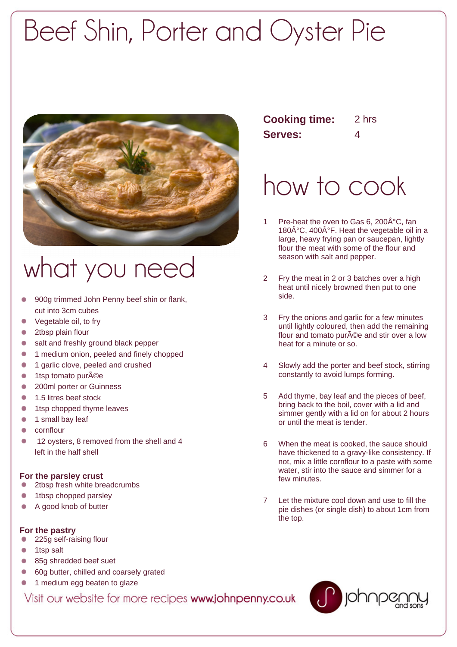# Beef Shin, Porter and Oyster Pie



## what you need

- 900g trimmed John Penny beef shin or flank, cut into 3cm cubes
- ٠ Vegetable oil, to fry
- $\bullet$ 2tbsp plain flour
- ٠ salt and freshly ground black pepper
- 1 medium onion, peeled and finely chopped ٠
- $\bullet$ 1 garlic clove, peeled and crushed
- 1tsp tomato purée  $\bullet$
- ٠ 200ml porter or Guinness
- ٠ 1.5 litres beef stock
- 1tsp chopped thyme leaves  $\bullet$
- ٠ 1 small bay leaf
- ٠ cornflour
- 12 oysters, 8 removed from the shell and 4  $\bullet$ left in the half shell

#### **For the parsley crust**

- 2tbsp fresh white breadcrumbs
- 1tbsp chopped parsley
- A good knob of butter

#### **For the pastry**

- 225g self-raising flour
- 1tsp salt
- 85g shredded beef suet
- 60g butter, chilled and coarsely grated
- 1 medium egg beaten to glaze

Visit our website for more recipes www.johnpenny.co.uk

| <b>Cooking time:</b> | 2 hrs            |
|----------------------|------------------|
| <b>Serves:</b>       | $\boldsymbol{A}$ |

### how to cook

- 1 Pre-heat the oven to Gas 6, 200 $A^{\circ}C$ , fan 180 $\hat{A}^{\circ}C$ , 400 $\hat{A}^{\circ}F$ . Heat the vegetable oil in a large, heavy frying pan or saucepan, lightly flour the meat with some of the flour and season with salt and pepper.
- 2 Fry the meat in 2 or 3 batches over a high heat until nicely browned then put to one side.
- 3 Fry the onions and garlic for a few minutes until lightly coloured, then add the remaining flour and tomato pur AC and stir over a low heat for a minute or so.
- 4 Slowly add the porter and beef stock, stirring constantly to avoid lumps forming.
- 5 Add thyme, bay leaf and the pieces of beef, bring back to the boil, cover with a lid and simmer gently with a lid on for about 2 hours or until the meat is tender.
- 6 When the meat is cooked, the sauce should have thickened to a gravy-like consistency. If not, mix a little cornflour to a paste with some water, stir into the sauce and simmer for a few minutes.
- 7 Let the mixture cool down and use to fill the pie dishes (or single dish) to about 1cm from the top.